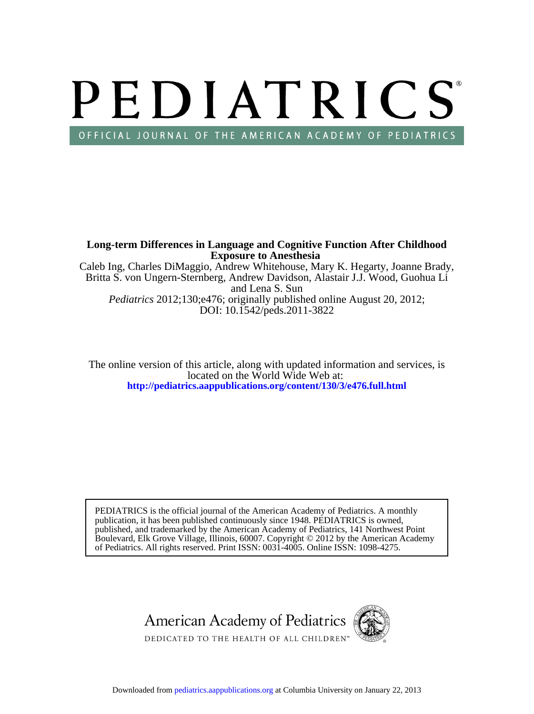# PEDIATRICS OFFICIAL JOURNAL OF THE AMERICAN ACADEMY OF PEDIATRICS

DOI: 10.1542/peds.2011-3822 *Pediatrics* 2012;130;e476; originally published online August 20, 2012; and Lena S. Sun Britta S. von Ungern-Sternberg, Andrew Davidson, Alastair J.J. Wood, Guohua Li Caleb Ing, Charles DiMaggio, Andrew Whitehouse, Mary K. Hegarty, Joanne Brady, **Exposure to Anesthesia Long-term Differences in Language and Cognitive Function After Childhood**

**<http://pediatrics.aappublications.org/content/130/3/e476.full.html>** located on the World Wide Web at: The online version of this article, along with updated information and services, is

of Pediatrics. All rights reserved. Print ISSN: 0031-4005. Online ISSN: 1098-4275. Boulevard, Elk Grove Village, Illinois, 60007. Copyright © 2012 by the American Academy published, and trademarked by the American Academy of Pediatrics, 141 Northwest Point publication, it has been published continuously since 1948. PEDIATRICS is owned, PEDIATRICS is the official journal of the American Academy of Pediatrics. A monthly

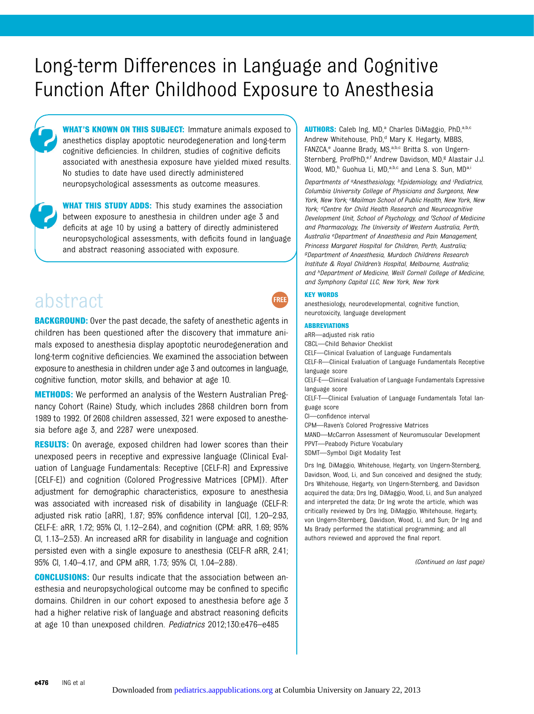# Long-term Differences in Language and Cognitive Function After Childhood Exposure to Anesthesia

WHAT'S KNOWN ON THIS SUBJECT: Immature animals exposed to anesthetics display apoptotic neurodegeneration and long-term cognitive deficiencies. In children, studies of cognitive deficits associated with anesthesia exposure have yielded mixed results. No studies to date have used directly administered neuropsychological assessments as outcome measures.

**WHAT THIS STUDY ADDS:** This study examines the association between exposure to anesthesia in children under age 3 and deficits at age 10 by using a battery of directly administered neuropsychological assessments, with deficits found in language and abstract reasoning associated with exposure.

# abstract

**BACKGROUND:** Over the past decade, the safety of anesthetic agents in children has been questioned after the discovery that immature animals exposed to anesthesia display apoptotic neurodegeneration and long-term cognitive deficiencies. We examined the association between exposure to anesthesia in children under age 3 and outcomes in language, cognitive function, motor skills, and behavior at age 10.

METHODS: We performed an analysis of the Western Australian Pregnancy Cohort (Raine) Study, which includes 2868 children born from 1989 to 1992. Of 2608 children assessed, 321 were exposed to anesthesia before age 3, and 2287 were unexposed.

**RESULTS:** On average, exposed children had lower scores than their unexposed peers in receptive and expressive language (Clinical Evaluation of Language Fundamentals: Receptive [CELF-R] and Expressive [CELF-E]) and cognition (Colored Progressive Matrices [CPM]). After adjustment for demographic characteristics, exposure to anesthesia was associated with increased risk of disability in language (CELF-R: adjusted risk ratio [aRR], 1.87; 95% confidence interval [CI], 1.20–2.93, CELF-E: aRR, 1.72; 95% CI, 1.12–2.64), and cognition (CPM: aRR, 1.69; 95% CI, 1.13–2.53). An increased aRR for disability in language and cognition persisted even with a single exposure to anesthesia (CELF-R aRR, 2.41; 95% CI, 1.40–4.17, and CPM aRR, 1.73; 95% CI, 1.04–2.88).

CONCLUSIONS: Our results indicate that the association between anesthesia and neuropsychological outcome may be confined to specific domains. Children in our cohort exposed to anesthesia before age 3 had a higher relative risk of language and abstract reasoning deficits at age 10 than unexposed children. Pediatrics 2012;130:e476–e485

AUTHORS: Caleb Ing, MD,<sup>a</sup> Charles DiMaggio, PhD,<sup>a,b,c</sup> Andrew Whitehouse, PhD,<sup>d</sup> Mary K. Hegarty, MBBS, FANZCA,<sup>e</sup> Joanne Brady, MS,<sup>a,b,c</sup> Britta S. von Ungern-Sternberg, ProfPhD,<sup>e,f</sup> Andrew Davidson, MD,<sup>g</sup> Alastair J.J. Wood, MD,<sup>h</sup> Guohua Li, MD,<sup>a,b,c</sup> and Lena S. Sun, MD<sup>a,i</sup>

Departments of <sup>a</sup>Anesthesiology, <sup>b</sup>Epidemiology, and <sup>i</sup>Pediatrics, Columbia University College of Physicians and Surgeons, New York, New York; <sup>c</sup>Mailman School of Public Health, New York, New York; <sup>d</sup>Centre for Child Health Research and Neurocognitive Development Unit, School of Psychology, and <sup>f</sup>School of Medicine and Pharmacology, The University of Western Australia, Perth, Australia eDepartment of Anaesthesia and Pain Management, Princess Margaret Hospital for Children, Perth, Australia; gDepartment of Anaesthesia, Murdoch Childrens Research Institute & Royal Children's Hospital, Melbourne, Australia; and hDepartment of Medicine, Weill Cornell College of Medicine, and Symphony Capital LLC, New York, New York

#### KEY WORDS

**FREE** 

anesthesiology, neurodevelopmental, cognitive function, neurotoxicity, language development

#### ABBREVIATIONS

aRR—adjusted risk ratio CBCL—Child Behavior Checklist CELF—Clinical Evaluation of Language Fundamentals CELF-R—Clinical Evaluation of Language Fundamentals Receptive language score CELF-E—Clinical Evaluation of Language Fundamentals Expressive language score CELF-T—Clinical Evaluation of Language Fundamentals Total language score CI—confidence interval CPM—Raven's Colored Progressive Matrices MAND—McCarron Assessment of Neuromuscular Development PPVT—Peabody Picture Vocabulary

SDMT—Symbol Digit Modality Test

Drs Ing, DiMaggio, Whitehouse, Hegarty, von Ungern-Sternberg, Davidson, Wood, Li, and Sun conceived and designed the study; Drs Whitehouse, Hegarty, von Ungern-Sternberg, and Davidson acquired the data; Drs Ing, DiMaggio, Wood, Li, and Sun analyzed and interpreted the data; Dr Ing wrote the article, which was critically reviewed by Drs Ing, DiMaggio, Whitehouse, Hegarty, von Ungern-Sternberg, Davidson, Wood, Li, and Sun; Dr Ing and Ms Brady performed the statistical programming; and all authors reviewed and approved the final report.

(Continued on last page)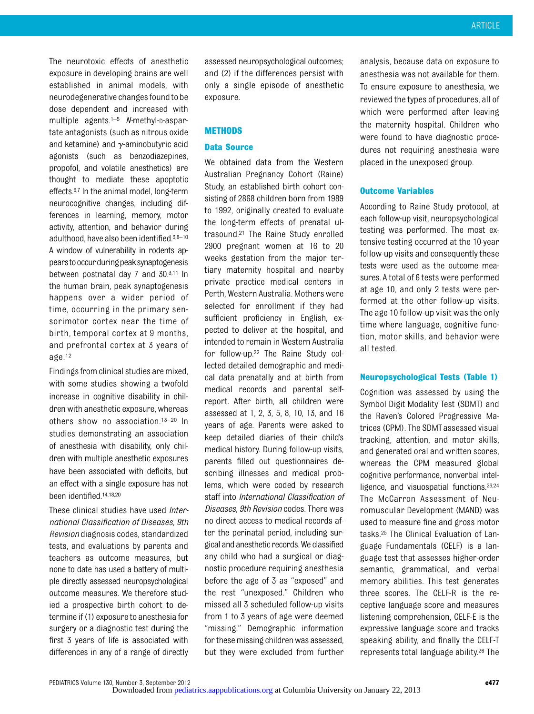The neurotoxic effects of anesthetic exposure in developing brains are well established in animal models, with neurodegenerative changes foundto be dose dependent and increased with multiple agents. $1-5$  N-methyl-p-aspartate antagonists (such as nitrous oxide and ketamine) and  $\gamma$ -aminobutyric acid agonists (such as benzodiazepines, propofol, and volatile anesthetics) are thought to mediate these apoptotic effects.<sup>6,7</sup> In the animal model, long-term neurocognitive changes, including differences in learning, memory, motor activity, attention, and behavior during adulthood, have also been identified.3,8–<sup>10</sup> A window of vulnerability in rodents appearstooccurduringpeaksynaptogenesis between postnatal day 7 and 30.3,11 In the human brain, peak synaptogenesis happens over a wider period of time, occurring in the primary sensorimotor cortex near the time of birth, temporal cortex at 9 months, and prefrontal cortex at 3 years of age.12

Findings from clinical studies are mixed, with some studies showing a twofold increase in cognitive disability in children with anesthetic exposure, whereas others show no association.13–<sup>20</sup> In studies demonstrating an association of anesthesia with disability, only children with multiple anesthetic exposures have been associated with deficits, but an effect with a single exposure has not been identified.14,18,20

These clinical studies have used *Inter*national Classification of Diseases, 9th Revision diagnosis codes, standardized tests, and evaluations by parents and teachers as outcome measures, but none to date has used a battery of multiple directly assessed neuropsychological outcome measures. We therefore studied a prospective birth cohort to determine if (1) exposure to anesthesia for surgery or a diagnostic test during the first 3 years of life is associated with differences in any of a range of directly assessed neuropsychological outcomes; and (2) if the differences persist with only a single episode of anesthetic exposure.

### METHODS

#### Data Source

We obtained data from the Western Australian Pregnancy Cohort (Raine) Study, an established birth cohort consisting of 2868 children born from 1989 to 1992, originally created to evaluate the long-term effects of prenatal ultrasound.21 The Raine Study enrolled 2900 pregnant women at 16 to 20 weeks gestation from the major tertiary maternity hospital and nearby private practice medical centers in Perth, Western Australia. Mothers were selected for enrollment if they had sufficient proficiency in English, expected to deliver at the hospital, and intended to remain in Western Australia for follow-up.22 The Raine Study collected detailed demographic and medical data prenatally and at birth from medical records and parental selfreport. After birth, all children were assessed at 1, 2, 3, 5, 8, 10, 13, and 16 years of age. Parents were asked to keep detailed diaries of their child's medical history. During follow-up visits, parents filled out questionnaires describing illnesses and medical problems, which were coded by research staff into International Classification of Diseases, 9th Revision codes. There was no direct access to medical records after the perinatal period, including surgical and anesthetic records. We classified any child who had a surgical or diagnostic procedure requiring anesthesia before the age of 3 as "exposed" and the rest "unexposed." Children who missed all 3 scheduled follow-up visits from 1 to 3 years of age were deemed "missing." Demographic information for these missing children was assessed, but they were excluded from further

analysis, because data on exposure to anesthesia was not available for them. To ensure exposure to anesthesia, we reviewed the types of procedures, all of which were performed after leaving the maternity hospital. Children who were found to have diagnostic procedures not requiring anesthesia were placed in the unexposed group.

### Outcome Variables

According to Raine Study protocol, at each follow-up visit, neuropsychological testing was performed. The most extensive testing occurred at the 10-year follow-up visits and consequently these tests were used as the outcome measures. A total of 6 tests were performed at age 10, and only 2 tests were performed at the other follow-up visits. The age 10 follow-up visit was the only time where language, cognitive function, motor skills, and behavior were all tested.

# Neuropsychological Tests (Table 1)

Cognition was assessed by using the Symbol Digit Modality Test (SDMT) and the Raven's Colored Progressive Matrices (CPM). The SDMTassessed visual tracking, attention, and motor skills, and generated oral and written scores, whereas the CPM measured global cognitive performance, nonverbal intelligence, and visuospatial functions.<sup>23,24</sup> The McCarron Assessment of Neuromuscular Development (MAND) was used to measure fine and gross motor tasks.25 The Clinical Evaluation of Language Fundamentals (CELF) is a language test that assesses higher-order semantic, grammatical, and verbal memory abilities. This test generates three scores. The CELF-R is the receptive language score and measures listening comprehension, CELF-E is the expressive language score and tracks speaking ability, and finally the CELF-T represents total language ability.26 The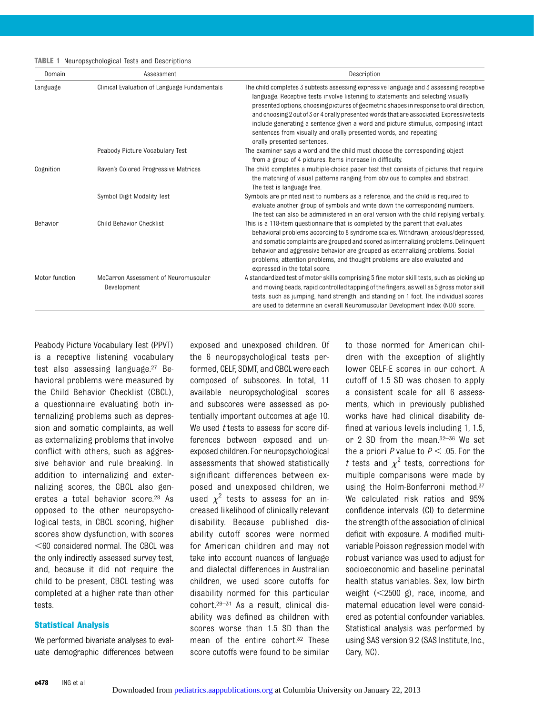|  | <b>TABLE 1</b> Neuropsychological Tests and Descriptions |  |  |
|--|----------------------------------------------------------|--|--|
|--|----------------------------------------------------------|--|--|

| Domain         | Assessment                                          | Description                                                                                                                                                                                                                                                                                                                                                                                                                                                                                                                                                 |
|----------------|-----------------------------------------------------|-------------------------------------------------------------------------------------------------------------------------------------------------------------------------------------------------------------------------------------------------------------------------------------------------------------------------------------------------------------------------------------------------------------------------------------------------------------------------------------------------------------------------------------------------------------|
| Language       | Clinical Evaluation of Language Fundamentals        | The child completes 3 subtests assessing expressive language and 3 assessing receptive<br>language. Receptive tests involve listening to statements and selecting visually<br>presented options, choosing pictures of geometric shapes in response to oral direction,<br>and choosing 2 out of 3 or 4 orally presented words that are associated. Expressive tests<br>include generating a sentence given a word and picture stimulus, composing intact<br>sentences from visually and orally presented words, and repeating<br>orally presented sentences. |
|                | Peabody Picture Vocabulary Test                     | The examiner says a word and the child must choose the corresponding object<br>from a group of 4 pictures. Items increase in difficulty.                                                                                                                                                                                                                                                                                                                                                                                                                    |
| Cognition      | Raven's Colored Progressive Matrices                | The child completes a multiple-choice paper test that consists of pictures that require<br>the matching of visual patterns ranging from obvious to complex and abstract.<br>The test is language free.                                                                                                                                                                                                                                                                                                                                                      |
|                | Symbol Digit Modality Test                          | Symbols are printed next to numbers as a reference, and the child is required to<br>evaluate another group of symbols and write down the corresponding numbers.<br>The test can also be administered in an oral version with the child replying verbally.                                                                                                                                                                                                                                                                                                   |
| Behavior       | Child Behavior Checklist                            | This is a 118-item questionnaire that is completed by the parent that evaluates<br>behavioral problems according to 8 syndrome scales. Withdrawn, anxious/depressed,<br>and somatic complaints are grouped and scored as internalizing problems. Delinquent<br>behavior and aggressive behavior are grouped as externalizing problems. Social<br>problems, attention problems, and thought problems are also evaluated and<br>expressed in the total score.                                                                                                 |
| Motor function | McCarron Assessment of Neuromuscular<br>Development | A standardized test of motor skills comprising 5 fine motor skill tests, such as picking up<br>and moving beads, rapid controlled tapping of the fingers, as well as 5 gross motor skill<br>tests, such as jumping, hand strength, and standing on 1 foot. The individual scores<br>are used to determine an overall Neuromuscular Development Index (NDI) score.                                                                                                                                                                                           |

Peabody Picture Vocabulary Test (PPVT) is a receptive listening vocabulary test also assessing language.27 Behavioral problems were measured by the Child Behavior Checklist (CBCL), a questionnaire evaluating both internalizing problems such as depression and somatic complaints, as well as externalizing problems that involve conflict with others, such as aggressive behavior and rule breaking. In addition to internalizing and externalizing scores, the CBCL also generates a total behavior score.28 As opposed to the other neuropsychological tests, in CBCL scoring, higher scores show dysfunction, with scores  $<$  60 considered normal. The CBCL was the only indirectly assessed survey test, and, because it did not require the child to be present, CBCL testing was completed at a higher rate than other tests.

#### Statistical Analysis

We performed bivariate analyses to evaluate demographic differences between exposed and unexposed children. Of the 6 neuropsychological tests performed, CELF, SDMT, and CBCL were each composed of subscores. In total, 11 available neuropsychological scores and subscores were assessed as potentially important outcomes at age 10. We used t tests to assess for score differences between exposed and unexposed children. For neuropsychological assessments that showed statistically significant differences between exposed and unexposed children, we used  $\chi^2$  tests to assess for an in-<br>creased likelihood of clinically relevant creased likelihood of clinically relevant disability. Because published disability cutoff scores were normed for American children and may not take into account nuances of language and dialectal differences in Australian children, we used score cutoffs for disability normed for this particular cohort.29–<sup>31</sup> As a result, clinical disability was defined as children with scores worse than 1.5 SD than the mean of the entire cohort.<sup>32</sup> These score cutoffs were found to be similar

to those normed for American children with the exception of slightly lower CELF-E scores in our cohort. A cutoff of 1.5 SD was chosen to apply a consistent scale for all 6 assessments, which in previously published works have had clinical disability defined at various levels including 1, 1.5, or 2 SD from the mean.32–<sup>36</sup> We set the a priori P value to  $P < .05$ . For the t tests and  $\chi^2$  tests, corrections for<br>multiple comparisons were made by multiple comparisons were made by using the Holm-Bonferroni method.<sup>37</sup> We calculated risk ratios and 95% confidence intervals (CI) to determine the strength of the association of clinical deficit with exposure. A modified multivariable Poisson regression model with robust variance was used to adjust for socioeconomic and baseline perinatal health status variables. Sex, low birth weight  $(<2500$  g), race, income, and maternal education level were considered as potential confounder variables. Statistical analysis was performed by using SAS version 9.2 (SAS Institute, Inc., Cary, NC).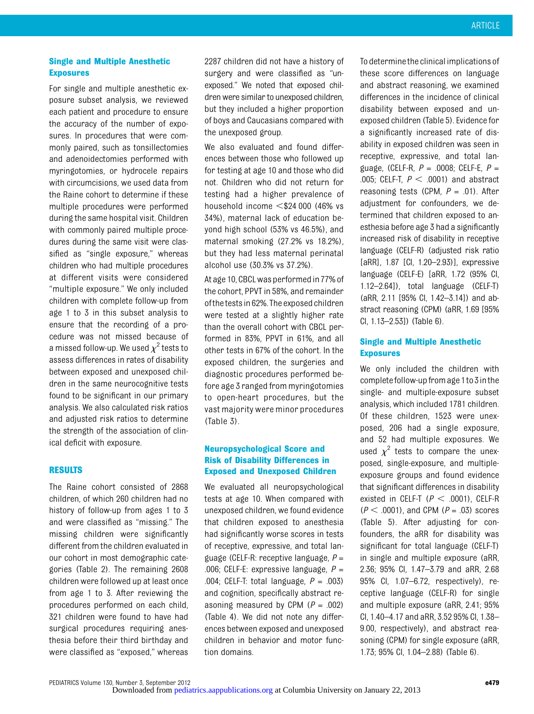# Single and Multiple Anesthetic Exposures

For single and multiple anesthetic exposure subset analysis, we reviewed each patient and procedure to ensure the accuracy of the number of exposures. In procedures that were commonly paired, such as tonsillectomies and adenoidectomies performed with myringotomies, or hydrocele repairs with circumcisions, we used data from the Raine cohort to determine if these multiple procedures were performed during the same hospital visit. Children with commonly paired multiple procedures during the same visit were classified as "single exposure," whereas children who had multiple procedures at different visits were considered "multiple exposure." We only included children with complete follow-up from age 1 to 3 in this subset analysis to ensure that the recording of a procedure was not missed because of a missed follow-up. We used  $\chi^2$  tests to<br>assess differences in rates of disability assess differences in rates of disability between exposed and unexposed children in the same neurocognitive tests found to be significant in our primary analysis. We also calculated risk ratios and adjusted risk ratios to determine the strength of the association of clinical deficit with exposure.

# RESULTS

The Raine cohort consisted of 2868 children, of which 260 children had no history of follow-up from ages 1 to 3 and were classified as "missing." The missing children were significantly different from the children evaluated in our cohort in most demographic categories (Table 2). The remaining 2608 children were followed up at least once from age 1 to 3. After reviewing the procedures performed on each child, 321 children were found to have had surgical procedures requiring anesthesia before their third birthday and were classified as "exposed," whereas

2287 children did not have a history of surgery and were classified as "unexposed." We noted that exposed children were similar to unexposed children, but they included a higher proportion of boys and Caucasians compared with the unexposed group.

We also evaluated and found differences between those who followed up for testing at age 10 and those who did not. Children who did not return for testing had a higher prevalence of household income  $<$ \$24 000 (46% vs 34%), maternal lack of education beyond high school (53% vs 46.5%), and maternal smoking (27.2% vs 18.2%), but they had less maternal perinatal alcohol use (30.3% vs 37.2%).

At age 10, CBCL was performed in 77% of the cohort, PPVT in 58%, and remainder of the tests in 62%. The exposed children were tested at a slightly higher rate than the overall cohort with CBCL performed in 83%, PPVT in 61%, and all other tests in 67% of the cohort. In the exposed children, the surgeries and diagnostic procedures performed before age 3 ranged from myringotomies to open-heart procedures, but the vast majority were minor procedures (Table 3).

# Neuropsychological Score and Risk of Disability Differences in Exposed and Unexposed Children

We evaluated all neuropsychological tests at age 10. When compared with unexposed children, we found evidence that children exposed to anesthesia had significantly worse scores in tests of receptive, expressive, and total language (CELF-R: receptive language,  $P =$ .006; CELF-E: expressive language,  $P =$ .004; CELF-T: total language,  $P = .003$ ) and cognition, specifically abstract reasoning measured by CPM  $(P = .002)$ (Table 4). We did not note any differences between exposed and unexposed children in behavior and motor function domains.

To determinethe clinical implications of these score differences on language and abstract reasoning, we examined differences in the incidence of clinical disability between exposed and unexposed children (Table 5). Evidence for a significantly increased rate of disability in exposed children was seen in receptive, expressive, and total language, (CELF-R,  $P = 0.0008$ ; CELF-E,  $P =$ .005; CELF-T,  $P < .0001$ ) and abstract reasoning tests (CPM,  $P = .01$ ). After adjustment for confounders, we determined that children exposed to anesthesia before age 3 had a significantly increased risk of disability in receptive language (CELF-R) (adjusted risk ratio [aRR], 1.87 [CI, 1.20–2.93)], expressive language (CELF-E) [aRR, 1.72 (95% CI, 1.12–2.64]), total language (CELF-T) (aRR, 2.11 [95% CI, 1.42–3.14]) and abstract reasoning (CPM) (aRR, 1.69 [95% CI, 1.13–2.53]) (Table 6).

# Single and Multiple Anesthetic Exposures

We only included the children with complete follow-up from age 1 to 3 in the single- and multiple-exposure subset analysis, which included 1781 children. Of these children, 1523 were unexposed, 206 had a single exposure, and 52 had multiple exposures. We used  $\chi^2$  tests to compare the unex-<br>posed single-experience and multipleposed, single-exposure, and multipleexposure groups and found evidence that significant differences in disability existed in CELF-T ( $P < .0001$ ), CELF-R  $(P < .0001)$ , and CPM  $(P = .03)$  scores (Table 5). After adjusting for confounders, the aRR for disability was significant for total language (CELF-T) in single and multiple exposure (aRR, 2.36; 95% CI, 1.47–3.79 and aRR, 2.68 95% CI, 1.07–6.72, respectively), receptive language (CELF-R) for single and multiple exposure (aRR, 2.41; 95% CI, 1.40–4.17 and aRR, 3.52 95% CI, 1.38– 9.00, respectively), and abstract reasoning (CPM) for single exposure (aRR, 1.73; 95% CI, 1.04–2.88) (Table 6).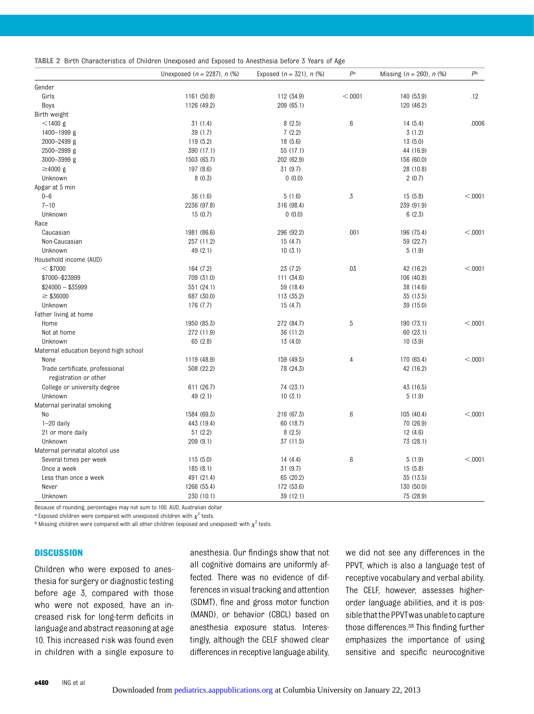|  |  | <b>TABLE 2</b> Birth Characteristics of Children Unexposed and Exposed to Anesthesia before 3 Years of Age |  |  |  |  |  |  |  |  |  |
|--|--|------------------------------------------------------------------------------------------------------------|--|--|--|--|--|--|--|--|--|
|--|--|------------------------------------------------------------------------------------------------------------|--|--|--|--|--|--|--|--|--|

|                                                          | Unexposed $(n = 2287)$ , n $(\%)$ | Exposed $(n = 321)$ , n $(\%)$ | $P^a$           | Missing $(n = 260)$ , n $(\%)$ | P <sub>b</sub> |
|----------------------------------------------------------|-----------------------------------|--------------------------------|-----------------|--------------------------------|----------------|
| Gender                                                   |                                   |                                |                 |                                |                |
| Girls                                                    | 1161 (50.8)                       | 112 (34.9)                     | < 0001          | 140 (53.9)                     | .12            |
| Boys                                                     | 1126 (49.2)                       | 209 (65.1)                     |                 | 120 (46.2)                     |                |
| Birth weight                                             |                                   |                                |                 |                                |                |
| $<$ 1400 g                                               | 31(1.4)                           | 8(2.5)                         | $.6\,$          | 14(5.4)                        | .0006          |
| 1400-1999 g                                              | 39 (1.7)                          | 7(2.2)                         |                 | 3(1.2)                         |                |
| $2000 - 2499$ g                                          | 119 (5.2)                         | 18(5.6)                        |                 | 13(5.0)                        |                |
| 2500-2999 g                                              | 390 (17.1)                        | 55 (17.1)                      |                 | 44 (16.9)                      |                |
| 3000-3999 g                                              | 1503 (65.7)                       | 202 (62.9)                     |                 | 156 (60.0)                     |                |
| $\geq 4000$ g                                            | 197 (8.6)                         | 31(9.7)                        |                 | 28 (10.8)                      |                |
| Unknown                                                  | 8(0.3)                            | 0(0.0)                         |                 | 2(0.7)                         |                |
| Apgar at 5 min                                           |                                   |                                |                 |                                |                |
| $0 - 6$                                                  | 36 (1.6)                          | 5(1.6)                         | $.3\,$          | 15(5.8)                        | < .0001        |
| $7 - 10$                                                 | 2236 (97.8)                       | 316 (98.4)                     |                 | 239 (91.9)                     |                |
| Unknown                                                  | 15(0.7)                           | 0(0.0)                         |                 | 6(2.3)                         |                |
| Race                                                     |                                   |                                |                 |                                |                |
| Caucasian                                                | 1981 (86.6)                       | 296 (92.2)                     | .001            | 196 (75.4)                     | < 0.001        |
| Non-Caucasian                                            | 257 (11.2)                        | 15(4.7)                        |                 | 59 (22.7)                      |                |
| Unknown                                                  | 49 (2.1)                          | 10(3.1)                        |                 | 5(1.9)                         |                |
| Household income (AUD)                                   |                                   |                                |                 |                                |                |
| $<$ \$7000                                               | 164 (7.2)                         | 23(7.2)                        | .03             | 42 (16.2)                      | < .0001        |
| \$7000-\$23999                                           | 709 (31.0)                        | 111 (34.6)                     |                 | 106 (40.8)                     |                |
| $$24000 - $35999$                                        | 551 (24.1)                        | 59 (18.4)                      |                 | 38 (14.6)                      |                |
| $\geq$ \$36000                                           | 687 (30.0)                        | 113 (35.2)                     |                 | 35 (13.5)                      |                |
| Unknown                                                  | 176 (7.7)                         | 15(4.7)                        |                 | 39 (15.0)                      |                |
| Father living at home                                    |                                   |                                |                 |                                |                |
| Home                                                     | 1950 (85.3)                       | 272 (84.7)                     | $.5\,$          | 190 (73.1)                     | < .0001        |
| Not at home                                              | 272 (11.9)                        | 36 (11.2)                      |                 | 60(23.1)                       |                |
|                                                          |                                   |                                |                 | 10(3.9)                        |                |
| Unknown                                                  | 65 (2.8)                          | 13(4.0)                        |                 |                                |                |
| Maternal education beyond high school                    |                                   |                                |                 |                                |                |
| None                                                     | 1119 (48.9)                       | 159 (49.5)                     | $.4\phantom{0}$ | 170 (65.4)                     | < .0001        |
| Trade certificate, professional<br>registration or other | 508 (22.2)                        | 78 (24.3)                      |                 | 42 (16.2)                      |                |
| College or university degree                             | 611 (26.7)                        | 74 (23.1)                      |                 | 43 (16.5)                      |                |
| Unknown                                                  | 49(2.1)                           | 10(3.1)                        |                 | 5(1.9)                         |                |
| Maternal perinatal smoking                               |                                   |                                |                 |                                |                |
| No                                                       | 1584 (69.3)                       | 216 (67.3)                     | .6              | 105 (40.4)                     | < 0.001        |
| $1-20$ daily                                             | 443 (19.4)                        | 60 (18.7)                      |                 | 70 (26.9)                      |                |
| 21 or more daily                                         | 51(2.2)                           | 8(2.5)                         |                 | 12(4.6)                        |                |
| Unknown                                                  | 209(9.1)                          | 37 (11.5)                      |                 | 73 (28.1)                      |                |
| Maternal perinatal alcohol use                           |                                   |                                |                 |                                |                |
| Several times per week                                   | 115(5.0)                          | 14(4.4)                        | $.6\,$          | 5(1.9)                         | < 0.001        |
| Once a week                                              | 185(8.1)                          | 31(9.7)                        |                 | 15(5.8)                        |                |
| Less than once a week                                    | 491 (21.4)                        | 65 (20.2)                      |                 | 35 (13.5)                      |                |
| Never                                                    | 1266 (55.4)                       | 172 (53.6)                     |                 | 130 (50.0)                     |                |
| Unknown                                                  | 230 (10.1)                        | 39 (12.1)                      |                 | 75 (28.9)                      |                |

Because of rounding, percentages may not sum to 100. AUD, Australian dollar.

<sup>a</sup> Exposed children were compared with unexposed children with  $\chi^2$  tests.

<sup>b</sup> Missing children were compared with all other children (exposed and unexposed) with  $\chi^2$  tests.

#### **DISCUSSION**

Children who were exposed to anesthesia for surgery or diagnostic testing before age 3, compared with those who were not exposed, have an increased risk for long-term deficits in language and abstract reasoning at age 10. This increased risk was found even in children with a single exposure to

anesthesia. Our findings show that not all cognitive domains are uniformly affected. There was no evidence of differences in visual tracking and attention (SDMT), fine and gross motor function (MAND), or behavior (CBCL) based on anesthesia exposure status. Interestingly, although the CELF showed clear differences in receptive language ability,

we did not see any differences in the PPVT, which is also a language test of receptive vocabulary and verbal ability. The CELF, however, assesses higherorder language abilities, and it is possible that the PPVT was unable to capture those differences.38 This finding further emphasizes the importance of using sensitive and specific neurocognitive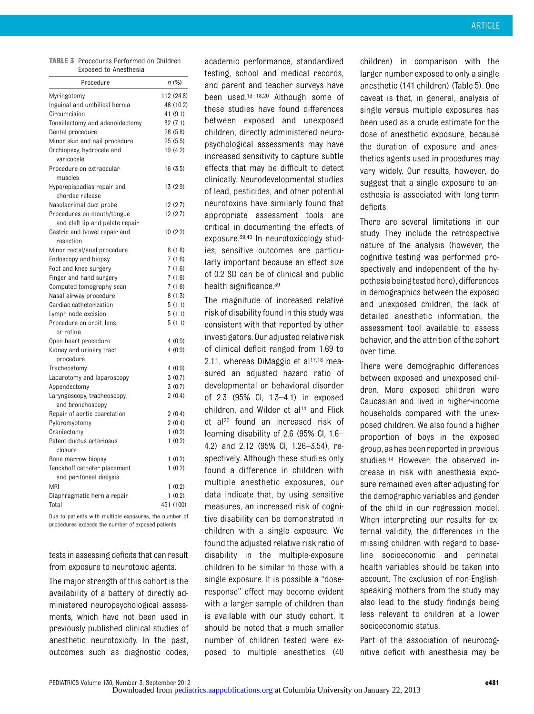| <b>TABLE 3</b> Procedures Performed on Children |
|-------------------------------------------------|
| Exposed to Anesthesia                           |

| Procedure                           | n (%)      |
|-------------------------------------|------------|
| Myringotomy                         | 112 (24.8) |
| Inguinal and umbilical hernia       | 46 (10.2)  |
| Circumcision                        | 41 (9.1)   |
| Tonsillectomy and adenoidectomy     | 32(7.1)    |
| Dental procedure                    | 26 (5.8)   |
| Minor skin and nail procedure       | 25(5.5)    |
| Orchiopexy, hydrocele and           | 19 (4.2)   |
| varicocele                          |            |
| Procedure on extraocular<br>muscles | 16(3.5)    |
| Hypo/epispadias repair and          | 13(2.9)    |
| chordee release                     |            |
| Nasolacrimal duct probe             | 12(2.7)    |
| Procedures on mouth/tongue          | 12(2.7)    |
| and cleft lip and palate repair     |            |
| Gastric and bowel repair and        | 10(2.2)    |
| resection                           |            |
| Minor rectal/anal procedure         | 8(1.8)     |
| <b>Endoscopy and biopsy</b>         | 7(1.6)     |
| Foot and knee surgery               | 7(1.6)     |
| Finger and hand surgery             | 7(1.6)     |
| Computed tomography scan            | 7(1.6)     |
| Nasal airway procedure              | 6(1.3)     |
| Cardiac catheterization             | 5(1.1)     |
| Lymph node excision                 | 5(1.1)     |
| Procedure on orbit, lens,           | 5(1.1)     |
| or retina                           |            |
| Open heart procedure                | 4(0.9)     |
| Kidney and urinary tract            | 4(0.9)     |
| procedure<br>Tracheostomy           | 4(0.9)     |
| Laparotomy and laparoscopy          | 3(0.7)     |
| Appendectomy                        | 3(0.7)     |
| Laryngoscopy, tracheoscopy,         | 2(0.4)     |
| and bronchoscopy                    |            |
| Repair of aortic coarctation        | 2(0.4)     |
| Pyloromyotomy                       | 2(0.4)     |
| Craniectomy                         | 1(0.2)     |
| Patent ductus arteriosus            | 1(0.2)     |
| closure                             |            |
| Bone marrow biopsy                  | 1(0.2)     |
| Tenckhoff catheter placement        | 1(0.2)     |
| and peritoneal dialysis             |            |
| <b>MRI</b>                          | 1(0.2)     |
| Diaphragmatic hernia repair         | 1(0.2)     |
| Total                               | 451 (100)  |

Due to patients with multiple exposures, the number of procedures exceeds the number of exposed patients.

tests in assessing deficits that can result from exposure to neurotoxic agents.

The major strength of this cohort is the availability of a battery of directly administered neuropsychological assessments, which have not been used in previously published clinical studies of anesthetic neurotoxicity. In the past, outcomes such as diagnostic codes,

academic performance, standardized testing, school and medical records, and parent and teacher surveys have been used.13–18,20 Although some of these studies have found differences between exposed and unexposed children, directly administered neuropsychological assessments may have increased sensitivity to capture subtle effects that may be difficult to detect clinically. Neurodevelopmental studies of lead, pesticides, and other potential neurotoxins have similarly found that appropriate assessment tools are critical in documenting the effects of exposure.39,40 In neurotoxicology studies, sensitive outcomes are particularly important because an effect size of 0.2 SD can be of clinical and public health significance.<sup>39</sup>

The magnitude of increased relative risk of disability found in this study was consistent with that reported by other investigators. Our adjusted relative risk of clinical deficit ranged from 1.69 to 2.11, whereas DiMaggio et al $17,18$  measured an adjusted hazard ratio of developmental or behavioral disorder of 2.3 (95% CI, 1.3–4.1) in exposed children, and Wilder et al14 and Flick et al<sup>20</sup> found an increased risk of learning disability of 2.6 (95% CI, 1.6– 4.2) and 2.12 (95% CI, 1.26–3.54), respectively. Although these studies only found a difference in children with multiple anesthetic exposures, our data indicate that, by using sensitive measures, an increased risk of cognitive disability can be demonstrated in children with a single exposure. We found the adjusted relative risk ratio of disability in the multiple-exposure children to be similar to those with a single exposure. It is possible a "doseresponse" effect may become evident with a larger sample of children than is available with our study cohort. It should be noted that a much smaller number of children tested were exposed to multiple anesthetics (40

children) in comparison with the larger number exposed to only a single anesthetic (141 children) (Table 5). One caveat is that, in general, analysis of single versus multiple exposures has been used as a crude estimate for the dose of anesthetic exposure, because the duration of exposure and anesthetics agents used in procedures may vary widely. Our results, however, do suggest that a single exposure to anesthesia is associated with long-term deficits.

There are several limitations in our study. They include the retrospective nature of the analysis (however, the cognitive testing was performed prospectively and independent of the hypothesis beingtested here), differences in demographics between the exposed and unexposed children, the lack of detailed anesthetic information, the assessment tool available to assess behavior, and the attrition of the cohort over time.

There were demographic differences between exposed and unexposed children. More exposed children were Caucasian and lived in higher-income households compared with the unexposed children. We also found a higher proportion of boys in the exposed group, as has been reported in previous studies.14 However, the observed increase in risk with anesthesia exposure remained even after adjusting for the demographic variables and gender of the child in our regression model. When interpreting our results for external validity, the differences in the missing children with regard to baseline socioeconomic and perinatal health variables should be taken into account. The exclusion of non-Englishspeaking mothers from the study may also lead to the study findings being less relevant to children at a lower socioeconomic status.

Part of the association of neurocognitive deficit with anesthesia may be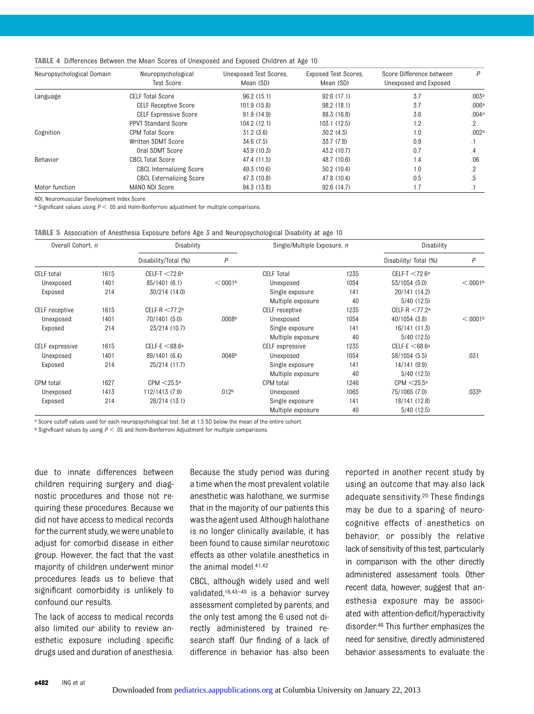|  | <b>TABLE 4</b> Differences Between the Mean Scores of Unexposed and Exposed Children at Age 10 |  |  |  |  |  |  |  |  |  |  |  |  |
|--|------------------------------------------------------------------------------------------------|--|--|--|--|--|--|--|--|--|--|--|--|
|--|------------------------------------------------------------------------------------------------|--|--|--|--|--|--|--|--|--|--|--|--|

| Neuropsychological Domain | Neuropsychological<br>Test Score | Unexposed Test Scores.<br>Mean (SD) | <b>Exposed Test Scores.</b><br>Mean (SD) | Score Difference between<br>Unexposed and Exposed | P              |
|---------------------------|----------------------------------|-------------------------------------|------------------------------------------|---------------------------------------------------|----------------|
| Language                  | CELF Total Score                 | 96.2(15.1)                          | 92.6(17.1)                               | 3.7                                               | .003a          |
|                           | <b>CELF Receptive Score</b>      | 101.9 (15.8)                        | 98.2 (18.1)                              | 3.7                                               | .006a          |
|                           | <b>CELF Expressive Score</b>     | 91.9 (14.9)                         | 88.3 (16.8)                              | 3.6                                               | .004a          |
|                           | <b>PPVT Standard Score</b>       | 104.2 (12.1)                        | 103.1(12.5)                              | 1.2                                               | 2              |
| Cognition                 | CPM Total Score                  | 31.2(3.6)                           | 30.2(4.3)                                | 1.0                                               | .002a          |
|                           | Written SDMT Score               | 34.6 (7.5)                          | 33.7 (7.8)                               | 0.9                                               | шI             |
|                           | Oral SDMT Score                  | 43.9 (10.3)                         | 43.2 (10.7)                              | 0.7                                               | $\overline{A}$ |
| <b>Behavior</b>           | <b>CBCL Total Score</b>          | 47.4 (11.5)                         | 48.7 (10.6)                              | 1.4                                               | .06            |
|                           | <b>CBCL Internalizing Score</b>  | 49.3 (10.6)                         | 50.2(10.4)                               | 1.0                                               | 2              |
|                           | <b>CBCL Externalizing Score</b>  | 47.3 (10.8)                         | 47.8 (10.4)                              | 0.5                                               | .5             |
| Motor function            | MAND NDI Score                   | 94.3 (13.8)                         | 92.6(14.7)                               | 1.7                                               |                |

NDI, Neuromuscular Development Index Score.

a Significant values using  $P < .05$  and Holm-Bonferroni adjustment for multiple comparisons.

|  |  |  |  |  |  | TABLE 5 Association of Anesthesia Exposure before Age 3 and Neuropsychological Disability at age 10 |  |  |  |
|--|--|--|--|--|--|-----------------------------------------------------------------------------------------------------|--|--|--|
|--|--|--|--|--|--|-----------------------------------------------------------------------------------------------------|--|--|--|

| Overall Cohort, n |      | Disability                   |                      |                   | Single/Multiple Exposure, n |                              | Disability           |  |
|-------------------|------|------------------------------|----------------------|-------------------|-----------------------------|------------------------------|----------------------|--|
|                   |      | Disability/Total (%)         | P                    |                   |                             | Disability/Total (%)         | P                    |  |
| CELF total        | 1615 | $CELF-T < 72.6a$             |                      | <b>CELF Total</b> | 1235                        | $CELF-T < 72.6^a$            |                      |  |
| Unexposed         | 1401 | 85/1401 (6.1)                | < 0.001 <sup>b</sup> | Unexposed         | 1054                        | 53/1054 (5.0)                | < 0.001 <sup>b</sup> |  |
| Exposed           | 214  | 30/214 (14.0)                |                      | Single exposure   | 141                         | 20/141 (14.2)                |                      |  |
|                   |      |                              |                      | Multiple exposure | 40                          | 5/40(12.5)                   |                      |  |
| CELF receptive    | 1615 | $CELF-R < 77.2a$             |                      | CELF receptive    | 1235                        | CELF-R $<$ 77.2 <sup>a</sup> |                      |  |
| Unexposed         | 1401 | 70/1401 (5.0)                | .0008 <sup>b</sup>   | Unexposed         | 1054                        | 40/1054 (3.8)                | < 0.001 <sup>b</sup> |  |
| Exposed           | 214  | 23/214 (10.7)                |                      | Single exposure   | 141                         | 16/141 (11.3)                |                      |  |
|                   |      |                              |                      | Multiple exposure | 40                          | 5/40(12.5)                   |                      |  |
| CELF expressive   | 1615 | CELF-E $<$ 68.6 <sup>a</sup> |                      | CELF expressive   | 1235                        | CELF-E $<$ 68.6 <sup>a</sup> |                      |  |
| Unexposed         | 1401 | 89/1401 (6.4)                | .0046 <sup>b</sup>   | Unexposed         | 1054                        | 58/1054 (5.5)                | .031                 |  |
| Exposed           | 214  | 25/214 (11.7)                |                      | Single exposure   | 141                         | 14/141 (9.9)                 |                      |  |
|                   |      |                              |                      | Multiple exposure | 40                          | 5/40(12.5)                   |                      |  |
| <b>CPM</b> total  | 1627 | CPM < 25.5a                  |                      | <b>CPM</b> total  | 1246                        | $CPM < 25.5^{\circ}$         |                      |  |
| Unexposed         | 1413 | 112/1413 (7.9)               | .012 <sup>b</sup>    | Unexposed         | 1065                        | 75/1065 (7.0)                | .033 <sup>b</sup>    |  |
| Exposed           | 214  | 28/214 (13.1)                |                      | Single exposure   | 141                         | 18/141 (12.8)                |                      |  |
|                   |      |                              |                      | Multiple exposure | 40                          | 5/40(12.5)                   |                      |  |

a Score cutoff values used for each neuropsychological test. Set at 1.5 SD below the mean of the entire cohort.

 $b$  Significant values by using  $P < .05$  and Holm-Bonferroni Adjustment for multiple comparisons.

due to innate differences between children requiring surgery and diagnostic procedures and those not requiring these procedures. Because we did not have access to medical records for the current study, we were unableto adjust for comorbid disease in either group. However, the fact that the vast majority of children underwent minor procedures leads us to believe that significant comorbidity is unlikely to confound our results.

The lack of access to medical records also limited our ability to review anesthetic exposure including specific drugs used and duration of anesthesia.

Because the study period was during a time when the most prevalent volatile anesthetic was halothane, we surmise that in the majority of our patients this wasthe agent used. Although halothane is no longer clinically available, it has been found to cause similar neurotoxic effects as other volatile anesthetics in the animal model.41,42

CBCL, although widely used and well validated,16,43–<sup>45</sup> is a behavior survey assessment completed by parents, and the only test among the 6 used not directly administered by trained research staff. Our finding of a lack of difference in behavior has also been

reported in another recent study by using an outcome that may also lack adequate sensitivity.20 These findings may be due to a sparing of neurocognitive effects of anesthetics on behavior, or possibly the relative lack of sensitivity of this test, particularly in comparison with the other directly administered assessment tools. Other recent data, however, suggest that anesthesia exposure may be associated with attention-deficit/hyperactivity disorder.46 This further emphasizes the need for sensitive, directly administered behavior assessments to evaluate the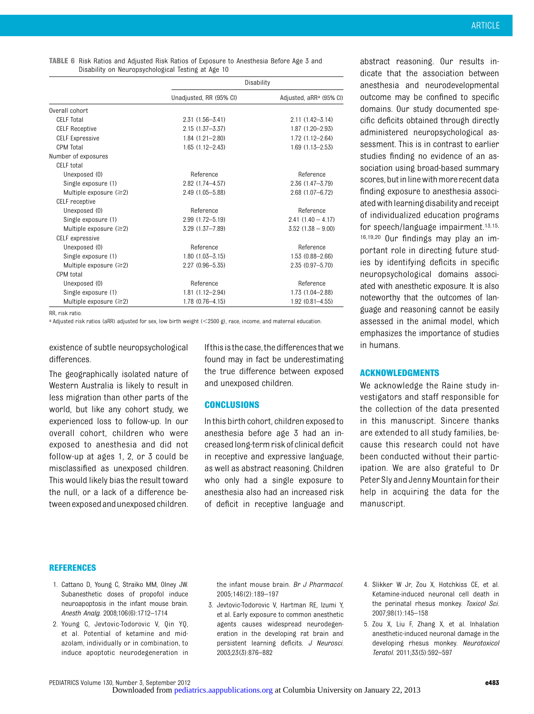| <b>TABLE 6</b> Risk Ratios and Adjusted Risk Ratios of Exposure to Anesthesia Before Age 3 and |
|------------------------------------------------------------------------------------------------|
| Disability on Neuropsychological Testing at Age 10                                             |

|                              | Disability              |                                     |  |  |  |
|------------------------------|-------------------------|-------------------------------------|--|--|--|
|                              | Unadjusted, RR (95% CI) | Adjusted, aRR <sup>a</sup> (95% CI) |  |  |  |
| Overall cohort               |                         |                                     |  |  |  |
| <b>CELF Total</b>            | $2.31(1.56 - 3.41)$     | $2.11(1.42 - 3.14)$                 |  |  |  |
| <b>CELF Receptive</b>        | $2.15(1.37 - 3.37)$     | $1.87(1.20 - 2.93)$                 |  |  |  |
| <b>CELF Expressive</b>       | $1.84(1.21 - 2.80)$     | $1.72(1.12 - 2.64)$                 |  |  |  |
| CPM Total                    | $1.65(1.12 - 2.43)$     | $1.69(1.13 - 2.53)$                 |  |  |  |
| Number of exposures          |                         |                                     |  |  |  |
| CELF total                   |                         |                                     |  |  |  |
| Unexposed (0)                | Reference               | Reference                           |  |  |  |
| Single exposure (1)          | $2.82(1.74 - 4.57)$     | $2.36(1.47 - 3.79)$                 |  |  |  |
| Multiple exposure $(\geq 2)$ | 2.49 (1.05-5.88)        | $2.68$ (1.07-6.72)                  |  |  |  |
| CELF receptive               |                         |                                     |  |  |  |
| Unexposed (0)                | Reference               | Reference                           |  |  |  |
| Single exposure (1)          | $2.99(1.72 - 5.19)$     | $2.41(1.40 - 4.17)$                 |  |  |  |
| Multiple exposure $(\geq 2)$ | $3.29(1.37 - 7.89)$     | $3.52(1.38 - 9.00)$                 |  |  |  |
| CELF expressive              |                         |                                     |  |  |  |
| Unexposed (0)                | Reference               | Reference                           |  |  |  |
| Single exposure (1)          | $1.80(1.03 - 3.15)$     | $1.53(0.88 - 2.66)$                 |  |  |  |
| Multiple exposure $(\geq 2)$ | $2.27(0.96 - 5.35)$     | 2.35 (0.97-5.70)                    |  |  |  |
| CPM total                    |                         |                                     |  |  |  |
| Unexposed (0)                | Reference               | Reference                           |  |  |  |
| Single exposure (1)          | $1.81(1.12 - 2.94)$     | $1.73(1.04 - 2.88)$                 |  |  |  |
| Multiple exposure $(\geq 2)$ | $1.78(0.76 - 4.15)$     | $1.92(0.81 - 4.55)$                 |  |  |  |

RR, risk ratio.

<sup>a</sup> Adjusted risk ratios (aRR) adjusted for sex, low birth weight (<2500 g), race, income, and maternal education.

existence of subtle neuropsychological differences.

The geographically isolated nature of Western Australia is likely to result in less migration than other parts of the world, but like any cohort study, we experienced loss to follow-up. In our overall cohort, children who were exposed to anesthesia and did not follow-up at ages 1, 2, or 3 could be misclassified as unexposed children. This would likely bias the result toward the null, or a lack of a difference between exposedandunexposed children.

Ifthis isthe case,the differencesthatwe found may in fact be underestimating the true difference between exposed and unexposed children.

#### **CONCLUSIONS**

In this birth cohort, children exposed to anesthesia before age 3 had an increased long-term risk of clinical deficit in receptive and expressive language, as well as abstract reasoning. Children who only had a single exposure to anesthesia also had an increased risk of deficit in receptive language and

abstract reasoning. Our results indicate that the association between anesthesia and neurodevelopmental outcome may be confined to specific domains. Our study documented specific deficits obtained through directly administered neuropsychological assessment. This is in contrast to earlier studies finding no evidence of an association using broad-based summary scores, but in line with more recent data finding exposure to anesthesia associated with learning disability and receipt of individualized education programs for speech/language impairment.13,15, 16,19,20 Our findings may play an important role in directing future studies by identifying deficits in specific neuropsychological domains associated with anesthetic exposure. It is also noteworthy that the outcomes of language and reasoning cannot be easily assessed in the animal model, which emphasizes the importance of studies in humans.

#### ACKNOWLEDGMENTS

We acknowledge the Raine study investigators and staff responsible for the collection of the data presented in this manuscript. Sincere thanks are extended to all study families, because this research could not have been conducted without their participation. We are also grateful to Dr Peter Sly and Jenny Mountain for their help in acquiring the data for the manuscript.

#### REFERENCES

- 1. Cattano D, Young C, Straiko MM, Olney JW. Subanesthetic doses of propofol induce neuroapoptosis in the infant mouse brain. Anesth Analg. 2008;106(6):1712–1714
- 2. Young C, Jevtovic-Todorovic V, Qin YQ, et al. Potential of ketamine and midazolam, individually or in combination, to induce apoptotic neurodegeneration in

the infant mouse brain. Br J Pharmacol. 2005;146(2):189–197

- 3. Jevtovic-Todorovic V, Hartman RE, Izumi Y, et al. Early exposure to common anesthetic agents causes widespread neurodegeneration in the developing rat brain and persistent learning deficits. J Neurosci. 2003;23(3):876–882
- 4. Slikker W Jr, Zou X, Hotchkiss CE, et al. Ketamine-induced neuronal cell death in the perinatal rhesus monkey. Toxicol Sci. 2007;98(1):145–158
- 5. Zou X, Liu F, Zhang X, et al. Inhalation anesthetic-induced neuronal damage in the developing rhesus monkey. Neurotoxicol Teratol. 2011;33(5):592–597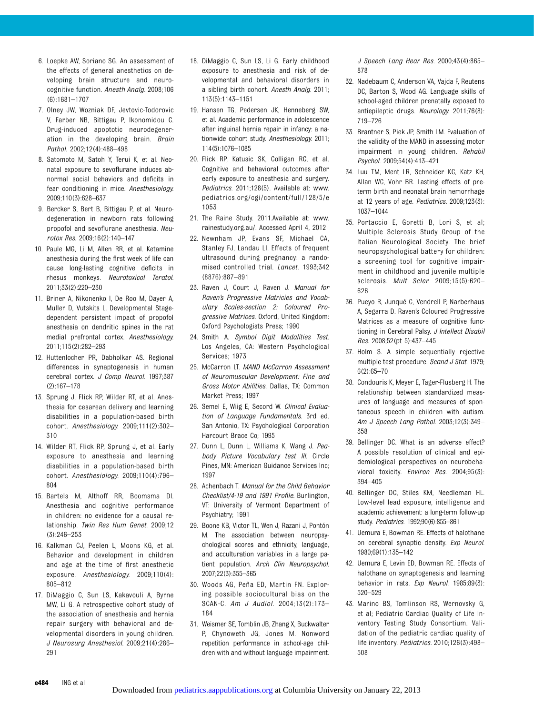- 6. Loepke AW, Soriano SG. An assessment of the effects of general anesthetics on developing brain structure and neurocognitive function. Anesth Analg. 2008;106 (6):1681–1707
- 7. Olney JW, Wozniak DF, Jevtovic-Todorovic V, Farber NB, Bittigau P, Ikonomidou C. Drug-induced apoptotic neurodegeneration in the developing brain. Brain Pathol. 2002;12(4):488–498
- 8. Satomoto M, Satoh Y, Terui K, et al. Neonatal exposure to sevoflurane induces abnormal social behaviors and deficits in fear conditioning in mice. Anesthesiology. 2009;110(3):628–637
- 9. Bercker S, Bert B, Bittigau P, et al. Neurodegeneration in newborn rats following propofol and sevoflurane anesthesia. Neurotox Res. 2009;16(2):140–147
- 10. Paule MG, Li M, Allen RR, et al. Ketamine anesthesia during the first week of life can cause long-lasting cognitive deficits in rhesus monkeys. Neurotoxicol Teratol. 2011;33(2):220–230
- 11. Briner A, Nikonenko I, De Roo M, Dayer A, Muller D, Vutskits L. Developmental Stagedependent persistent impact of propofol anesthesia on dendritic spines in the rat medial prefrontal cortex. Anesthesiology. 2011;115(2):282–293
- 12. Huttenlocher PR, Dabholkar AS. Regional differences in synaptogenesis in human cerebral cortex. J Comp Neurol. 1997;387 (2):167–178
- 13. Sprung J, Flick RP, Wilder RT, et al. Anesthesia for cesarean delivery and learning disabilities in a population-based birth cohort. Anesthesiology. 2009;111(2):302– 310
- 14. Wilder RT, Flick RP, Sprung J, et al. Early exposure to anesthesia and learning disabilities in a population-based birth cohort. Anesthesiology. 2009;110(4):796– 804
- 15. Bartels M, Althoff RR, Boomsma DI. Anesthesia and cognitive performance in children: no evidence for a causal relationship. Twin Res Hum Genet. 2009;12 (3):246–253
- 16. Kalkman CJ, Peelen L, Moons KG, et al. Behavior and development in children and age at the time of first anesthetic exposure. Anesthesiology. 2009;110(4): 805–812
- 17. DiMaggio C, Sun LS, Kakavouli A, Byrne MW, Li G. A retrospective cohort study of the association of anesthesia and hernia repair surgery with behavioral and developmental disorders in young children. J Neurosurg Anesthesiol. 2009;21(4):286– 291

e484 ING et al

- 18. DiMaggio C, Sun LS, Li G. Early childhood exposure to anesthesia and risk of developmental and behavioral disorders in a sibling birth cohort. Anesth Analg. 2011; 113(5):1143–1151
- 19. Hansen TG, Pedersen JK, Henneberg SW, et al. Academic performance in adolescence after inguinal hernia repair in infancy: a nationwide cohort study. Anesthesiology. 2011; 114(5):1076–1085
- 20. Flick RP, Katusic SK, Colligan RC, et al. Cognitive and behavioral outcomes after early exposure to anesthesia and surgery. Pediatrics. 2011;128(5). Available at: www. pediatrics.org/cgi/content/full/128/5/e 1053
- 21. The Raine Study. 2011.Available at: [www.](http://www.rainestudy.org.au/) [rainestudy.org.au/.](http://www.rainestudy.org.au/) Accessed April 4, 2012
- 22. Newnham JP, Evans SF, Michael CA, Stanley FJ, Landau LI. Effects of frequent ultrasound during pregnancy: a randomised controlled trial. Lancet. 1993;342 (8876):887–891
- 23. Raven J, Court J, Raven J. Manual for Raven's Progressive Matricies and Vocabulary Scales-section 2: Coloured Progressive Matrices. Oxford, United Kingdom: Oxford Psychologists Press; 1990
- 24. Smith A. Symbol Digit Modalities Test. Los Angeles, CA: Western Psychological Services; 1973
- 25. McCarron LT. MAND McCarron Assessment of Neuromuscular Development: Fine and Gross Motor Abilities. Dallas, TX: Common Market Press; 1997
- 26. Semel E, Wiig E, Secord W. Clinical Evaluation of Language Fundamentals. 3rd ed. San Antonio, TX: Psychological Corporation Harcourt Brace Co; 1995
- 27. Dunn L, Dunn L, Williams K, Wang J. Peabody Picture Vocabulary test III. Circle Pines, MN: American Guidance Services Inc; 1997
- 28. Achenbach T. Manual for the Child Behavior Checklist/4-19 and 1991 Profile. Burlington, VT: University of Vermont Department of Psychiatry; 1991
- 29. Boone KB, Victor TL, Wen J, Razani J, Pontón M. The association between neuropsychological scores and ethnicity, language, and acculturation variables in a large patient population. Arch Clin Neuropsychol. 2007;22(3):355–365
- 30. Woods AG, Peña ED, Martin FN. Exploring possible sociocultural bias on the SCAN-C. Am J Audiol. 2004;13(2):173– 184
- 31. Weismer SE, Tomblin JB, Zhang X, Buckwalter P, Chynoweth JG, Jones M. Nonword repetition performance in school-age children with and without language impairment.

J Speech Lang Hear Res. 2000;43(4):865– 878

- 32. Nadebaum C, Anderson VA, Vajda F, Reutens DC, Barton S, Wood AG. Language skills of school-aged children prenatally exposed to antiepileptic drugs. Neurology. 2011;76(8): 719–726
- 33. Brantner S, Piek JP, Smith LM. Evaluation of the validity of the MAND in assessing motor impairment in young children. Rehabil Psychol. 2009;54(4):413–421
- 34. Luu TM, Ment LR, Schneider KC, Katz KH, Allan WC, Vohr BR. Lasting effects of preterm birth and neonatal brain hemorrhage at 12 years of age. Pediatrics. 2009;123(3): 1037–1044
- 35. Portaccio E, Goretti B, Lori S, et al; Multiple Sclerosis Study Group of the Italian Neurological Society. The brief neuropsychological battery for children: a screening tool for cognitive impairment in childhood and juvenile multiple sclerosis. Mult Scler. 2009;15(5):620– 626
- 36. Pueyo R, Junqué C, Vendrell P, Narberhaus A, Segarra D. Raven's Coloured Progressive Matrices as a measure of cognitive functioning in Cerebral Palsy. J Intellect Disabil Res. 2008;52(pt 5):437–445
- 37. Holm S. A simple sequentially rejective multiple test procedure. Scand J Stat. 1979; 6(2):65–70
- 38. Condouris K, Meyer E, Tager-Flusberg H. The relationship between standardized measures of language and measures of spontaneous speech in children with autism. Am J Speech Lang Pathol. 2003;12(3):349– 358
- 39. Bellinger DC. What is an adverse effect? A possible resolution of clinical and epidemiological perspectives on neurobehavioral toxicity. Environ Res. 2004;95(3): 394–405
- 40. Bellinger DC, Stiles KM, Needleman HL. Low-level lead exposure, intelligence and academic achievement: a long-term follow-up study. Pediatrics. 1992;90(6):855–861
- 41. Uemura E, Bowman RE. Effects of halothane on cerebral synaptic density. Exp Neurol. 1980;69(1):135–142
- 42. Uemura E, Levin ED, Bowman RE. Effects of halothane on synaptogenesis and learning behavior in rats. Exp Neurol. 1985;89(3): 520–529
- 43. Marino BS, Tomlinson RS, Wernovsky G, et al; Pediatric Cardiac Quality of Life Inventory Testing Study Consortium. Validation of the pediatric cardiac quality of life inventory. Pediatrics. 2010;126(3):498– 508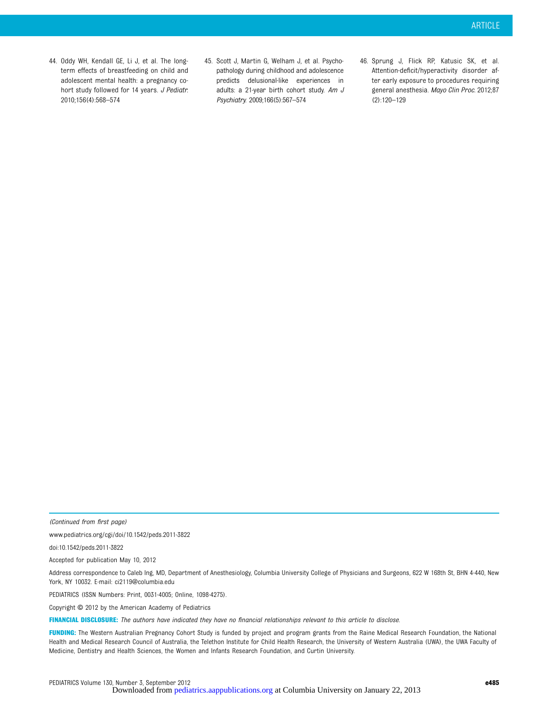- 44. Oddy WH, Kendall GE, Li J, et al. The longterm effects of breastfeeding on child and adolescent mental health: a pregnancy cohort study followed for 14 years. J Pediatr. 2010;156(4):568–574
- 45. Scott J, Martin G, Welham J, et al. Psychopathology during childhood and adolescence predicts delusional-like experiences in adults: a 21-year birth cohort study. Am J Psychiatry. 2009;166(5):567–574
- 46. Sprung J, Flick RP, Katusic SK, et al. Attention-deficit/hyperactivity disorder after early exposure to procedures requiring general anesthesia. Mayo Clin Proc. 2012;87 (2):120–129

(Continued from first page)

www.pediatrics.org/cgi/doi/10.1542/peds.2011-3822

doi:10.1542/peds.2011-3822

Accepted for publication May 10, 2012

Address correspondence to Caleb Ing, MD, Department of Anesthesiology, Columbia University College of Physicians and Surgeons, 622 W 168th St, BHN 4-440, New York, NY 10032. E-mail: [ci2119@columbia.edu](mailto:ci2119@columbia.edu)

PEDIATRICS (ISSN Numbers: Print, 0031-4005; Online, 1098-4275).

Copyright © 2012 by the American Academy of Pediatrics

FINANCIAL DISCLOSURE: The authors have indicated they have no financial relationships relevant to this article to disclose.

FUNDING: The Western Australian Pregnancy Cohort Study is funded by project and program grants from the Raine Medical Research Foundation, the National Health and Medical Research Council of Australia, the Telethon Institute for Child Health Research, the University of Western Australia (UWA), the UWA Faculty of Medicine, Dentistry and Health Sciences, the Women and Infants Research Foundation, and Curtin University.